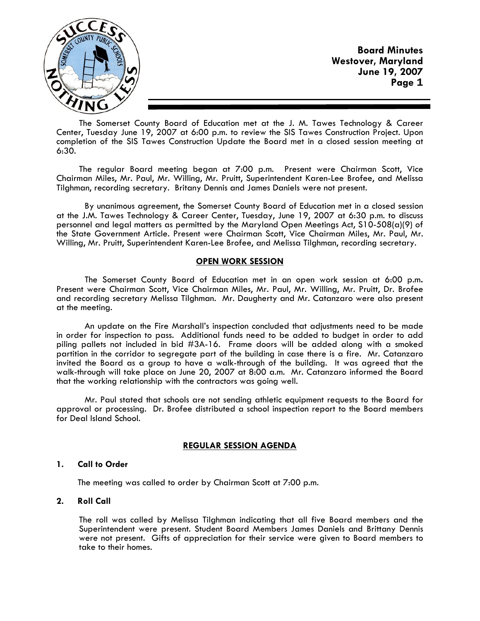

**Board Minutes Westover, Maryland June 19, 2007 Page 1**

The Somerset County Board of Education met at the J. M. Tawes Technology & Career Center, Tuesday June 19, 2007 at 6:00 p.m. to review the SIS Tawes Construction Project. Upon completion of the SIS Tawes Construction Update the Board met in a closed session meeting at 6:30.

The regular Board meeting began at 7:00 p.m. Present were Chairman Scott, Vice Chairman Miles, Mr. Paul, Mr. Willing, Mr. Pruitt, Superintendent Karen-Lee Brofee, and Melissa Tilghman, recording secretary. Britany Dennis and James Daniels were not present.

 By unanimous agreement, the Somerset County Board of Education met in a closed session at the J.M. Tawes Technology & Career Center, Tuesday, June 19, 2007 at 6:30 p.m. to discuss personnel and legal matters as permitted by the Maryland Open Meetings Act, S10-508(a)(9) of the State Government Article. Present were Chairman Scott, Vice Chairman Miles, Mr. Paul, Mr. Willing, Mr. Pruitt, Superintendent Karen-Lee Brofee, and Melissa Tilghman, recording secretary.

### **OPEN WORK SESSION**

 The Somerset County Board of Education met in an open work session at 6:00 p.m**.** Present were Chairman Scott, Vice Chairman Miles, Mr. Paul, Mr. Willing, Mr. Pruitt, Dr. Brofee and recording secretary Melissa Tilghman. Mr. Daugherty and Mr. Catanzaro were also present at the meeting.

 An update on the Fire Marshall's inspection concluded that adjustments need to be made in order for inspection to pass. Additional funds need to be added to budget in order to add piling pallets not included in bid #3A-16. Frame doors will be added along with a smoked partition in the corridor to segregate part of the building in case there is a fire. Mr. Catanzaro invited the Board as a group to have a walk-through of the building. It was agreed that the walk-through will take place on June 20, 2007 at 8:00 a.m. Mr. Catanzaro informed the Board that the working relationship with the contractors was going well.

 Mr. Paul stated that schools are not sending athletic equipment requests to the Board for approval or processing. Dr. Brofee distributed a school inspection report to the Board members for Deal Island School.

### **REGULAR SESSION AGENDA**

### **1. Call to Order**

The meeting was called to order by Chairman Scott at 7:00 p.m.

### **2. Roll Call**

The roll was called by Melissa Tilghman indicating that all five Board members and the Superintendent were present. Student Board Members James Daniels and Brittany Dennis were not present. Gifts of appreciation for their service were given to Board members to take to their homes.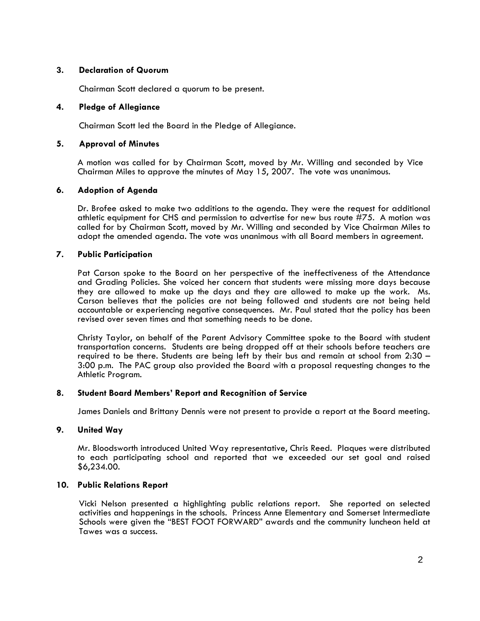### **3. Declaration of Quorum**

Chairman Scott declared a quorum to be present.

#### **4. Pledge of Allegiance**

Chairman Scott led the Board in the Pledge of Allegiance.

#### **5. Approval of Minutes**

 A motion was called for by Chairman Scott, moved by Mr. Willing and seconded by Vice Chairman Miles to approve the minutes of May 15, 2007. The vote was unanimous.

#### **6. Adoption of Agenda**

 Dr. Brofee asked to make two additions to the agenda. They were the request for additional athletic equipment for CHS and permission to advertise for new bus route #75. A motion was called for by Chairman Scott, moved by Mr. Willing and seconded by Vice Chairman Miles to adopt the amended agenda. The vote was unanimous with all Board members in agreement.

### **7. Public Participation**

Pat Carson spoke to the Board on her perspective of the ineffectiveness of the Attendance and Grading Policies. She voiced her concern that students were missing more days because they are allowed to make up the days and they are allowed to make up the work. Ms. Carson believes that the policies are not being followed and students are not being held accountable or experiencing negative consequences. Mr. Paul stated that the policy has been revised over seven times and that something needs to be done.

Christy Taylor, on behalf of the Parent Advisory Committee spoke to the Board with student transportation concerns. Students are being dropped off at their schools before teachers are required to be there. Students are being left by their bus and remain at school from 2:30 – 3:00 p.m. The PAC group also provided the Board with a proposal requesting changes to the Athletic Program.

#### **8. Student Board Members' Report and Recognition of Service**

James Daniels and Brittany Dennis were not present to provide a report at the Board meeting.

### **9. United Way**

Mr. Bloodsworth introduced United Way representative, Chris Reed. Plaques were distributed to each participating school and reported that we exceeded our set goal and raised \$6,234.00.

### **10. Public Relations Report**

Vicki Nelson presented a highlighting public relations report. She reported on selected activities and happenings in the schools. Princess Anne Elementary and Somerset Intermediate Schools were given the "BEST FOOT FORWARD" awards and the community luncheon held at Tawes was a success.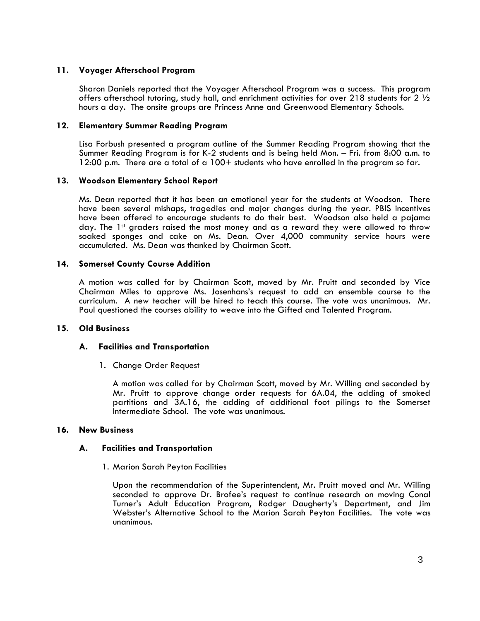### **11. Voyager Afterschool Program**

Sharon Daniels reported that the Voyager Afterschool Program was a success. This program offers afterschool tutoring, study hall, and enrichment activities for over 218 students for 2  $\frac{1}{2}$ hours a day. The onsite groups are Princess Anne and Greenwood Elementary Schools.

### **12. Elementary Summer Reading Program**

Lisa Forbush presented a program outline of the Summer Reading Program showing that the Summer Reading Program is for K-2 students and is being held Mon. – Fri. from 8:00 a.m. to 12:00 p.m. There are a total of a 100+ students who have enrolled in the program so far.

# **13. Woodson Elementary School Report**

Ms. Dean reported that it has been an emotional year for the students at Woodson. There have been several mishaps, tragedies and major changes during the year. PBIS incentives have been offered to encourage students to do their best. Woodson also held a pajama day. The 1st graders raised the most money and as a reward they were allowed to throw soaked sponges and cake on Ms. Dean. Over 4,000 community service hours were accumulated. Ms. Dean was thanked by Chairman Scott.

# **14. Somerset County Course Addition**

A motion was called for by Chairman Scott, moved by Mr. Pruitt and seconded by Vice Chairman Miles to approve Ms. Josenhans's request to add an ensemble course to the curriculum. A new teacher will be hired to teach this course. The vote was unanimous. Mr. Paul questioned the courses ability to weave into the Gifted and Talented Program.

### **15. Old Business**

### **A. Facilities and Transportation**

1. Change Order Request

A motion was called for by Chairman Scott, moved by Mr. Willing and seconded by Mr. Pruitt to approve change order requests for 6A.04, the adding of smoked partitions and 3A.16, the adding of additional foot pilings to the Somerset Intermediate School. The vote was unanimous.

### **16. New Business**

### **A. Facilities and Transportation**

1. Marion Sarah Peyton Facilities

Upon the recommendation of the Superintendent, Mr. Pruitt moved and Mr. Willing seconded to approve Dr. Brofee's request to continue research on moving Conal Turner's Adult Education Program, Rodger Daugherty's Department, and Jim Webster's Alternative School to the Marion Sarah Peyton Facilities. The vote was unanimous.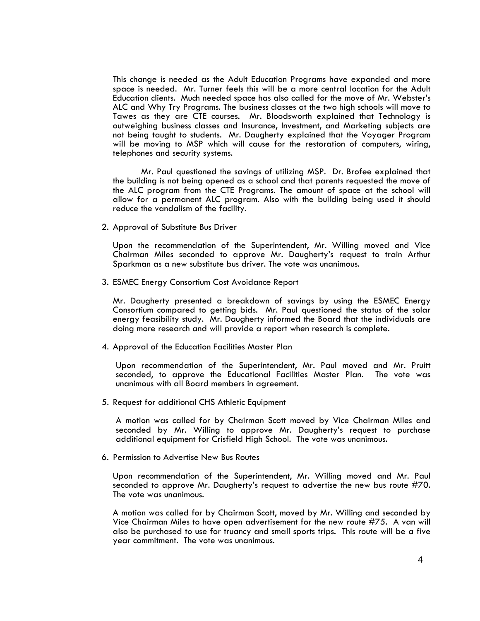This change is needed as the Adult Education Programs have expanded and more space is needed. Mr. Turner feels this will be a more central location for the Adult Education clients. Much needed space has also called for the move of Mr. Webster's ALC and Why Try Programs. The business classes at the two high schools will move to Tawes as they are CTE courses. Mr. Bloodsworth explained that Technology is outweighing business classes and Insurance, Investment, and Marketing subjects are not being taught to students. Mr. Daugherty explained that the Voyager Program will be moving to MSP which will cause for the restoration of computers, wiring, telephones and security systems.

 Mr. Paul questioned the savings of utilizing MSP. Dr. Brofee explained that the building is not being opened as a school and that parents requested the move of the ALC program from the CTE Programs. The amount of space at the school will allow for a permanent ALC program. Also with the building being used it should reduce the vandalism of the facility.

2. Approval of Substitute Bus Driver

Upon the recommendation of the Superintendent, Mr. Willing moved and Vice Chairman Miles seconded to approve Mr. Daugherty's request to train Arthur Sparkman as a new substitute bus driver. The vote was unanimous.

3. ESMEC Energy Consortium Cost Avoidance Report Mr. Daugherty presented a breakdown of savings by using the ESMEC Energy Consortium compared to getting bids. Mr. Paul questioned the status of the solar energy feasibility study. Mr. Daugherty informed the Board that the individuals are doing more research and will provide a report when research is complete.

4. Approval of the Education Facilities Master Plan

Upon recommendation of the Superintendent, Mr. Paul moved and Mr. Pruitt seconded, to approve the Educational Facilities Master Plan. The vote was unanimous with all Board members in agreement.

5. Request for additional CHS Athletic Equipment

A motion was called for by Chairman Scott moved by Vice Chairman Miles and seconded by Mr. Willing to approve Mr. Daugherty's request to purchase additional equipment for Crisfield High School. The vote was unanimous.

6. Permission to Advertise New Bus Routes

Upon recommendation of the Superintendent, Mr. Willing moved and Mr. Paul seconded to approve Mr. Daugherty's request to advertise the new bus route #70. The vote was unanimous.

A motion was called for by Chairman Scott, moved by Mr. Willing and seconded by Vice Chairman Miles to have open advertisement for the new route #75. A van will also be purchased to use for truancy and small sports trips. This route will be a five year commitment. The vote was unanimous.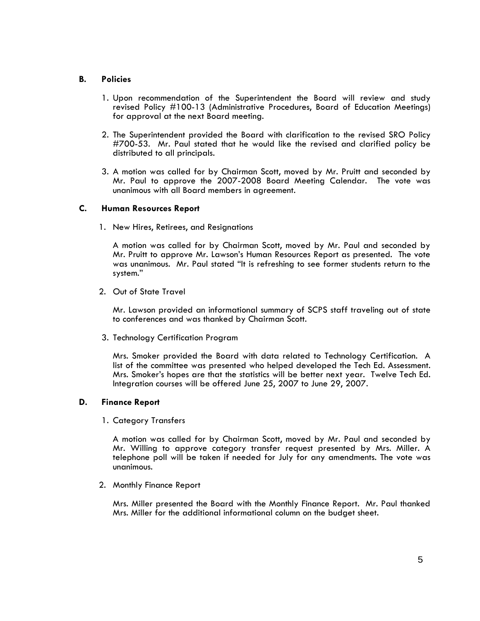# **B. Policies**

- 1. Upon recommendation of the Superintendent the Board will review and study revised Policy #100-13 (Administrative Procedures, Board of Education Meetings) for approval at the next Board meeting.
- 2. The Superintendent provided the Board with clarification to the revised SRO Policy #700-53. Mr. Paul stated that he would like the revised and clarified policy be distributed to all principals.
- 3. A motion was called for by Chairman Scott, moved by Mr. Pruitt and seconded by Mr. Paul to approve the 2007-2008 Board Meeting Calendar. The vote was unanimous with all Board members in agreement.

### **C. Human Resources Report**

1. New Hires, Retirees, and Resignations

A motion was called for by Chairman Scott, moved by Mr. Paul and seconded by Mr. Pruitt to approve Mr. Lawson's Human Resources Report as presented. The vote was unanimous. Mr. Paul stated "It is refreshing to see former students return to the system."

2. Out of State Travel

Mr. Lawson provided an informational summary of SCPS staff traveling out of state to conferences and was thanked by Chairman Scott.

3. Technology Certification Program

Mrs. Smoker provided the Board with data related to Technology Certification. A list of the committee was presented who helped developed the Tech Ed. Assessment. Mrs. Smoker's hopes are that the statistics will be better next year. Twelve Tech Ed. Integration courses will be offered June 25, 2007 to June 29, 2007.

### **D. Finance Report**

1. Category Transfers

A motion was called for by Chairman Scott, moved by Mr. Paul and seconded by Mr. Willing to approve category transfer request presented by Mrs. Miller. A telephone poll will be taken if needed for July for any amendments. The vote was unanimous.

2. Monthly Finance Report

Mrs. Miller presented the Board with the Monthly Finance Report. Mr. Paul thanked Mrs. Miller for the additional informational column on the budget sheet.